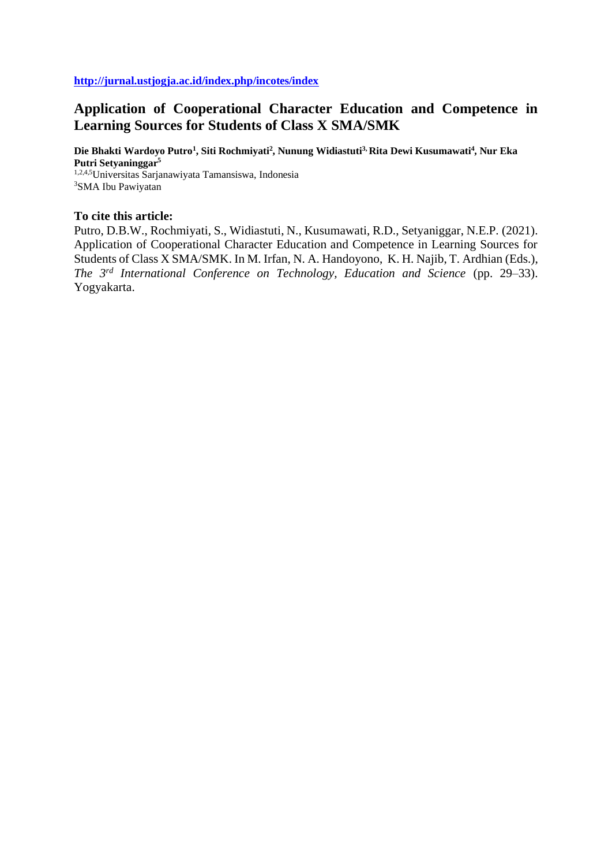# **Application of Cooperational Character Education and Competence in Learning Sources for Students of Class X SMA/SMK**

**Die Bhakti Wardoyo Putro<sup>1</sup> , Siti Rochmiyati<sup>2</sup> , Nunung Widiastuti3, Rita Dewi Kusumawati<sup>4</sup> , Nur Eka Putri Setyaninggar<sup>5</sup>** 1,2,4,5Universitas Sarjanawiyata Tamansiswa, Indonesia <sup>3</sup>SMA Ibu Pawiyatan

## **To cite this article:**

Putro, D.B.W., Rochmiyati, S., Widiastuti, N., Kusumawati, R.D., Setyaniggar, N.E.P. (2021). Application of Cooperational Character Education and Competence in Learning Sources for Students of Class X SMA/SMK. In M. Irfan, N. A. Handoyono, K. H. Najib, T. Ardhian (Eds.), *The 3rd International Conference on Technology, Education and Science* (pp. 29–33). Yogyakarta.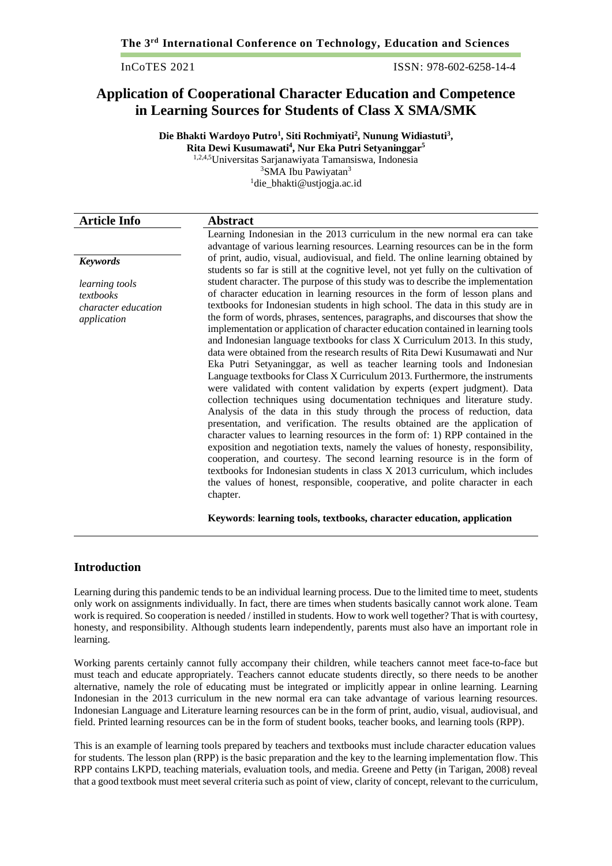InCoTES 2021 ISSN: 978-602-6258-14-4

## **Application of Cooperational Character Education and Competence in Learning Sources for Students of Class X SMA/SMK**

**Die Bhakti Wardoyo Putro<sup>1</sup> , Siti Rochmiyati<sup>2</sup> , Nunung Widiastuti<sup>3</sup> , Rita Dewi Kusumawati<sup>4</sup> , Nur Eka Putri Setyaninggar<sup>5</sup>**

1,2,4,5Universitas Sarjanawiyata Tamansiswa, Indonesia <sup>3</sup>SMA Ibu Pawiyatan<sup>3</sup> <sup>1</sup>[die\\_bhakti@ustjogja.ac.id](mailto:die_bhakti@ustjogja.ac.id)

| <b>Article Info</b>        | <b>Abstract</b>                                                                                                                                                          |
|----------------------------|--------------------------------------------------------------------------------------------------------------------------------------------------------------------------|
|                            | Learning Indonesian in the 2013 curriculum in the new normal era can take                                                                                                |
|                            | advantage of various learning resources. Learning resources can be in the form                                                                                           |
| <b>Keywords</b>            | of print, audio, visual, audiovisual, and field. The online learning obtained by<br>students so far is still at the cognitive level, not yet fully on the cultivation of |
| learning tools             | student character. The purpose of this study was to describe the implementation                                                                                          |
| textbooks                  | of character education in learning resources in the form of lesson plans and                                                                                             |
| <i>character education</i> | textbooks for Indonesian students in high school. The data in this study are in                                                                                          |
| application                | the form of words, phrases, sentences, paragraphs, and discourses that show the                                                                                          |
|                            | implementation or application of character education contained in learning tools                                                                                         |
|                            | and Indonesian language textbooks for class X Curriculum 2013. In this study,                                                                                            |
|                            | data were obtained from the research results of Rita Dewi Kusumawati and Nur                                                                                             |
|                            | Eka Putri Setyaninggar, as well as teacher learning tools and Indonesian                                                                                                 |
|                            | Language textbooks for Class X Curriculum 2013. Furthermore, the instruments                                                                                             |
|                            | were validated with content validation by experts (expert judgment). Data                                                                                                |
|                            | collection techniques using documentation techniques and literature study.<br>Analysis of the data in this study through the process of reduction, data                  |
|                            | presentation, and verification. The results obtained are the application of                                                                                              |
|                            | character values to learning resources in the form of: 1) RPP contained in the                                                                                           |
|                            | exposition and negotiation texts, namely the values of honesty, responsibility,                                                                                          |
|                            | cooperation, and courtesy. The second learning resource is in the form of                                                                                                |
|                            | textbooks for Indonesian students in class X 2013 curriculum, which includes                                                                                             |
|                            | the values of honest, responsible, cooperative, and polite character in each                                                                                             |
|                            | chapter.                                                                                                                                                                 |
|                            | Keywords: learning tools, textbooks, character education, application                                                                                                    |

## **Introduction**

Learning during this pandemic tends to be an individual learning process. Due to the limited time to meet, students only work on assignments individually. In fact, there are times when students basically cannot work alone. Team work is required. So cooperation is needed / instilled in students. How to work well together? That is with courtesy, honesty, and responsibility. Although students learn independently, parents must also have an important role in learning.

Working parents certainly cannot fully accompany their children, while teachers cannot meet face-to-face but must teach and educate appropriately. Teachers cannot educate students directly, so there needs to be another alternative, namely the role of educating must be integrated or implicitly appear in online learning. Learning Indonesian in the 2013 curriculum in the new normal era can take advantage of various learning resources. Indonesian Language and Literature learning resources can be in the form of print, audio, visual, audiovisual, and field. Printed learning resources can be in the form of student books, teacher books, and learning tools (RPP).

This is an example of learning tools prepared by teachers and textbooks must include character education values for students. The lesson plan (RPP) is the basic preparation and the key to the learning implementation flow. This RPP contains LKPD, teaching materials, evaluation tools, and media. Greene and Petty (in Tarigan, 2008) reveal that a good textbook must meet several criteria such as point of view, clarity of concept, relevant to the curriculum,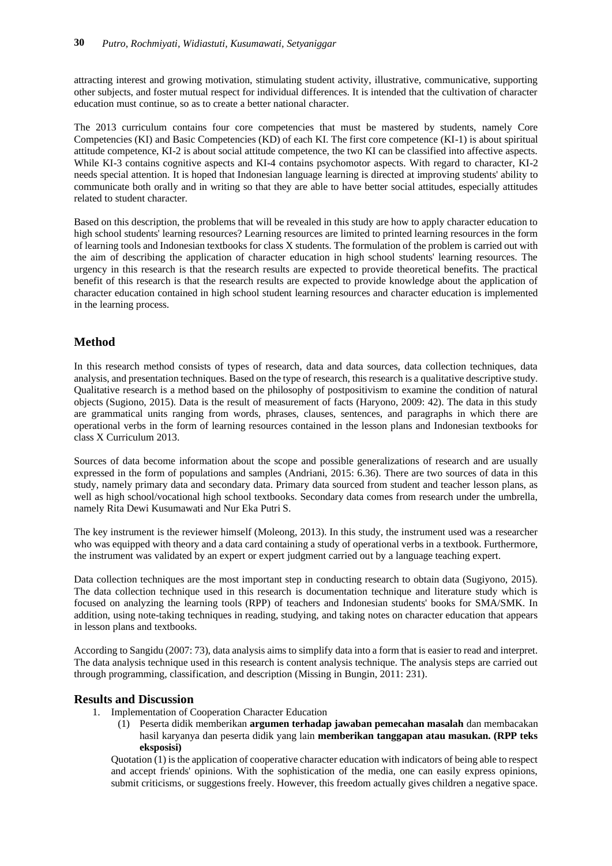attracting interest and growing motivation, stimulating student activity, illustrative, communicative, supporting other subjects, and foster mutual respect for individual differences. It is intended that the cultivation of character education must continue, so as to create a better national character.

The 2013 curriculum contains four core competencies that must be mastered by students, namely Core Competencies (KI) and Basic Competencies (KD) of each KI. The first core competence (KI-1) is about spiritual attitude competence, KI-2 is about social attitude competence, the two KI can be classified into affective aspects. While KI-3 contains cognitive aspects and KI-4 contains psychomotor aspects. With regard to character, KI-2 needs special attention. It is hoped that Indonesian language learning is directed at improving students' ability to communicate both orally and in writing so that they are able to have better social attitudes, especially attitudes related to student character.

Based on this description, the problems that will be revealed in this study are how to apply character education to high school students' learning resources? Learning resources are limited to printed learning resources in the form of learning tools and Indonesian textbooks for class X students. The formulation of the problem is carried out with the aim of describing the application of character education in high school students' learning resources. The urgency in this research is that the research results are expected to provide theoretical benefits. The practical benefit of this research is that the research results are expected to provide knowledge about the application of character education contained in high school student learning resources and character education is implemented in the learning process.

## **Method**

In this research method consists of types of research, data and data sources, data collection techniques, data analysis, and presentation techniques. Based on the type of research, this research is a qualitative descriptive study. Qualitative research is a method based on the philosophy of postpositivism to examine the condition of natural objects (Sugiono, 2015). Data is the result of measurement of facts (Haryono, 2009: 42). The data in this study are grammatical units ranging from words, phrases, clauses, sentences, and paragraphs in which there are operational verbs in the form of learning resources contained in the lesson plans and Indonesian textbooks for class X Curriculum 2013.

Sources of data become information about the scope and possible generalizations of research and are usually expressed in the form of populations and samples (Andriani, 2015: 6.36). There are two sources of data in this study, namely primary data and secondary data. Primary data sourced from student and teacher lesson plans, as well as high school/vocational high school textbooks. Secondary data comes from research under the umbrella, namely Rita Dewi Kusumawati and Nur Eka Putri S.

The key instrument is the reviewer himself (Moleong, 2013). In this study, the instrument used was a researcher who was equipped with theory and a data card containing a study of operational verbs in a textbook. Furthermore, the instrument was validated by an expert or expert judgment carried out by a language teaching expert.

Data collection techniques are the most important step in conducting research to obtain data (Sugiyono, 2015). The data collection technique used in this research is documentation technique and literature study which is focused on analyzing the learning tools (RPP) of teachers and Indonesian students' books for SMA/SMK. In addition, using note-taking techniques in reading, studying, and taking notes on character education that appears in lesson plans and textbooks.

According to Sangidu (2007: 73), data analysis aims to simplify data into a form that is easier to read and interpret. The data analysis technique used in this research is content analysis technique. The analysis steps are carried out through programming, classification, and description (Missing in Bungin, 2011: 231).

## **Results and Discussion**

- 1. Implementation of Cooperation Character Education
	- (1) Peserta didik memberikan **argumen terhadap jawaban pemecahan masalah** dan membacakan hasil karyanya dan peserta didik yang lain **memberikan tanggapan atau masukan. (RPP teks eksposisi)**

Quotation (1) is the application of cooperative character education with indicators of being able to respect and accept friends' opinions. With the sophistication of the media, one can easily express opinions, submit criticisms, or suggestions freely. However, this freedom actually gives children a negative space.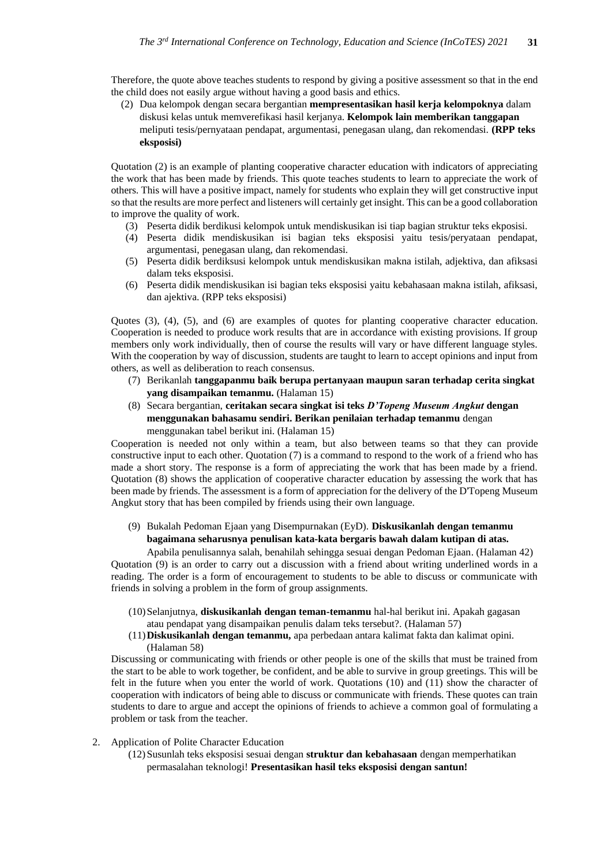Therefore, the quote above teaches students to respond by giving a positive assessment so that in the end the child does not easily argue without having a good basis and ethics.

(2) Dua kelompok dengan secara bergantian **mempresentasikan hasil kerja kelompoknya** dalam diskusi kelas untuk memverefikasi hasil kerjanya. **Kelompok lain memberikan tanggapan** meliputi tesis/pernyataan pendapat, argumentasi, penegasan ulang, dan rekomendasi. **(RPP teks eksposisi)**

Quotation (2) is an example of planting cooperative character education with indicators of appreciating the work that has been made by friends. This quote teaches students to learn to appreciate the work of others. This will have a positive impact, namely for students who explain they will get constructive input so that the results are more perfect and listeners will certainly get insight. This can be a good collaboration to improve the quality of work.

- (3) Peserta didik berdikusi kelompok untuk mendiskusikan isi tiap bagian struktur teks ekposisi.
- (4) Peserta didik mendiskusikan isi bagian teks eksposisi yaitu tesis/peryataan pendapat, argumentasi, penegasan ulang, dan rekomendasi.
- (5) Peserta didik berdiksusi kelompok untuk mendiskusikan makna istilah, adjektiva, dan afiksasi dalam teks eksposisi.
- (6) Peserta didik mendiskusikan isi bagian teks eksposisi yaitu kebahasaan makna istilah, afiksasi, dan ajektiva. (RPP teks eksposisi)

Quotes (3), (4), (5), and (6) are examples of quotes for planting cooperative character education. Cooperation is needed to produce work results that are in accordance with existing provisions. If group members only work individually, then of course the results will vary or have different language styles. With the cooperation by way of discussion, students are taught to learn to accept opinions and input from others, as well as deliberation to reach consensus.

- (7) Berikanlah **tanggapanmu baik berupa pertanyaan maupun saran terhadap cerita singkat yang disampaikan temanmu.** (Halaman 15)
- (8) Secara bergantian, **ceritakan secara singkat isi teks** *D'Topeng Museum Angkut* **dengan menggunakan bahasamu sendiri. Berikan penilaian terhadap temanmu** dengan menggunakan tabel berikut ini. (Halaman 15)

Cooperation is needed not only within a team, but also between teams so that they can provide constructive input to each other. Quotation (7) is a command to respond to the work of a friend who has made a short story. The response is a form of appreciating the work that has been made by a friend. Quotation (8) shows the application of cooperative character education by assessing the work that has been made by friends. The assessment is a form of appreciation for the delivery of the D'Topeng Museum Angkut story that has been compiled by friends using their own language.

(9) Bukalah Pedoman Ejaan yang Disempurnakan (EyD). **Diskusikanlah dengan temanmu bagaimana seharusnya penulisan kata-kata bergaris bawah dalam kutipan di atas.**

Apabila penulisannya salah, benahilah sehingga sesuai dengan Pedoman Ejaan. (Halaman 42) Quotation (9) is an order to carry out a discussion with a friend about writing underlined words in a reading. The order is a form of encouragement to students to be able to discuss or communicate with friends in solving a problem in the form of group assignments.

- (10)Selanjutnya, **diskusikanlah dengan teman-temanmu** hal-hal berikut ini. Apakah gagasan atau pendapat yang disampaikan penulis dalam teks tersebut?. (Halaman 57)
- (11)**Diskusikanlah dengan temanmu,** apa perbedaan antara kalimat fakta dan kalimat opini. (Halaman 58)

Discussing or communicating with friends or other people is one of the skills that must be trained from the start to be able to work together, be confident, and be able to survive in group greetings. This will be felt in the future when you enter the world of work. Quotations (10) and (11) show the character of cooperation with indicators of being able to discuss or communicate with friends. These quotes can train students to dare to argue and accept the opinions of friends to achieve a common goal of formulating a problem or task from the teacher.

- 2. Application of Polite Character Education
	- (12)Susunlah teks eksposisi sesuai dengan **struktur dan kebahasaan** dengan memperhatikan permasalahan teknologi! **Presentasikan hasil teks eksposisi dengan santun!**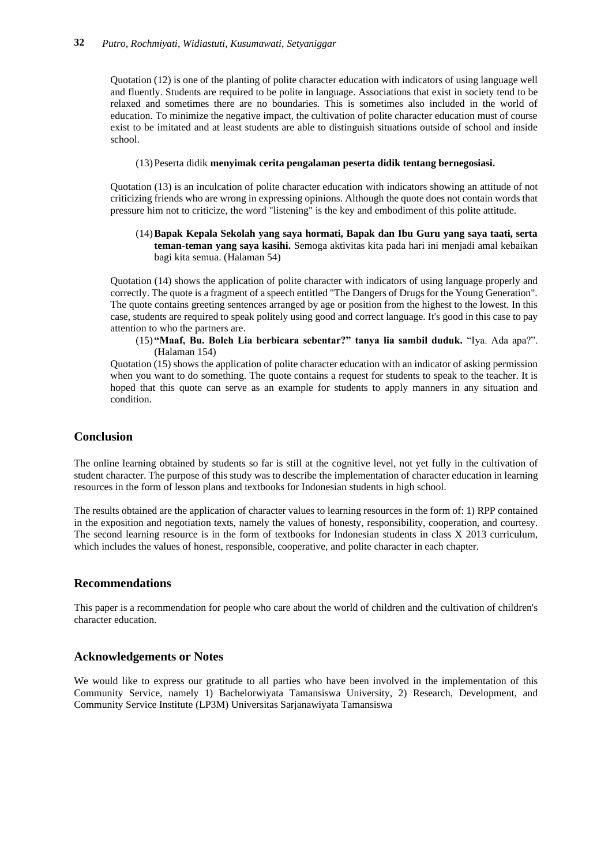Quotation (12) is one of the planting of polite character education with indicators of using language well and fluently. Students are required to be polite in language. Associations that exist in society tend to be relaxed and sometimes there are no boundaries. This is sometimes also included in the world of education. To minimize the negative impact, the cultivation of polite character education must of course exist to be imitated and at least students are able to distinguish situations outside of school and inside school.

#### (13)Peserta didik **menyimak cerita pengalaman peserta didik tentang bernegosiasi.**

Quotation (13) is an inculcation of polite character education with indicators showing an attitude of not criticizing friends who are wrong in expressing opinions. Although the quote does not contain words that pressure him not to criticize, the word "listening" is the key and embodiment of this polite attitude.

#### (14)**Bapak Kepala Sekolah yang saya hormati, Bapak dan Ibu Guru yang saya taati, serta teman-teman yang saya kasihi.** Semoga aktivitas kita pada hari ini menjadi amal kebaikan bagi kita semua. (Halaman 54)

Quotation (14) shows the application of polite character with indicators of using language properly and correctly. The quote is a fragment of a speech entitled "The Dangers of Drugs for the Young Generation". The quote contains greeting sentences arranged by age or position from the highest to the lowest. In this case, students are required to speak politely using good and correct language. It's good in this case to pay attention to who the partners are.

#### (15) **"Maaf, Bu. Boleh Lia berbicara sebentar?" tanya lia sambil duduk.** "Iya. Ada apa?". (Halaman 154)

Quotation (15) shows the application of polite character education with an indicator of asking permission when you want to do something. The quote contains a request for students to speak to the teacher. It is hoped that this quote can serve as an example for students to apply manners in any situation and condition.

## **Conclusion**

The online learning obtained by students so far is still at the cognitive level, not yet fully in the cultivation of student character. The purpose of this study was to describe the implementation of character education in learning resources in the form of lesson plans and textbooks for Indonesian students in high school.

The results obtained are the application of character values to learning resources in the form of: 1) RPP contained in the exposition and negotiation texts, namely the values of honesty, responsibility, cooperation, and courtesy. The second learning resource is in the form of textbooks for Indonesian students in class X 2013 curriculum, which includes the values of honest, responsible, cooperative, and polite character in each chapter.

### **Recommendations**

This paper is a recommendation for people who care about the world of children and the cultivation of children's character education.

### **Acknowledgements or Notes**

We would like to express our gratitude to all parties who have been involved in the implementation of this Community Service, namely 1) Bachelorwiyata Tamansiswa University, 2) Research, Development, and Community Service Institute (LP3M) Universitas Sarjanawiyata Tamansiswa